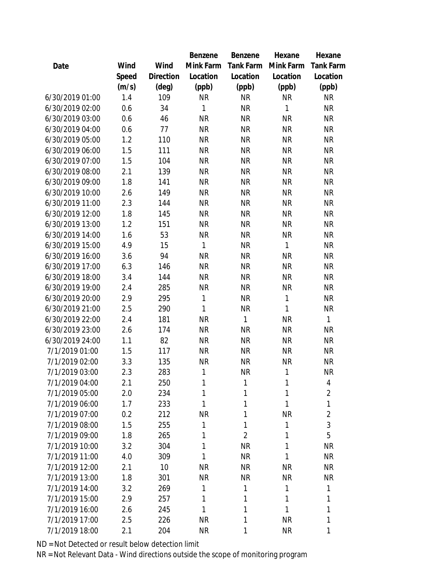|                 |       |           | Benzene      | Benzene        | Hexane       | Hexane           |
|-----------------|-------|-----------|--------------|----------------|--------------|------------------|
| Date            | Wind  | Wind      | Mink Farm    | Tank Farm      | Mink Farm    | <b>Tank Farm</b> |
|                 | Speed | Direction | Location     | Location       | Location     | Location         |
|                 | (m/s) | (deg)     | (ppb)        | (ppb)          | (ppb)        | (ppb)            |
| 6/30/2019 01:00 | 1.4   | 109       | <b>NR</b>    | <b>NR</b>      | <b>NR</b>    | <b>NR</b>        |
| 6/30/2019 02:00 | 0.6   | 34        | $\mathbf{1}$ | <b>NR</b>      | $\mathbf{1}$ | <b>NR</b>        |
| 6/30/2019 03:00 | 0.6   | 46        | <b>NR</b>    | <b>NR</b>      | <b>NR</b>    | <b>NR</b>        |
| 6/30/2019 04:00 | 0.6   | 77        | <b>NR</b>    | <b>NR</b>      | <b>NR</b>    | <b>NR</b>        |
| 6/30/2019 05:00 | 1.2   | 110       | <b>NR</b>    | <b>NR</b>      | <b>NR</b>    | <b>NR</b>        |
| 6/30/2019 06:00 | 1.5   | 111       | <b>NR</b>    | <b>NR</b>      | <b>NR</b>    | <b>NR</b>        |
| 6/30/2019 07:00 | 1.5   | 104       | <b>NR</b>    | <b>NR</b>      | <b>NR</b>    | <b>NR</b>        |
| 6/30/2019 08:00 | 2.1   | 139       | <b>NR</b>    | <b>NR</b>      | <b>NR</b>    | <b>NR</b>        |
| 6/30/2019 09:00 | 1.8   | 141       | <b>NR</b>    | <b>NR</b>      | <b>NR</b>    | <b>NR</b>        |
| 6/30/2019 10:00 | 2.6   | 149       | <b>NR</b>    | <b>NR</b>      | <b>NR</b>    | <b>NR</b>        |
| 6/30/2019 11:00 | 2.3   | 144       | <b>NR</b>    | <b>NR</b>      | <b>NR</b>    | <b>NR</b>        |
| 6/30/2019 12:00 | 1.8   | 145       | <b>NR</b>    | <b>NR</b>      | <b>NR</b>    | <b>NR</b>        |
| 6/30/2019 13:00 | 1.2   | 151       | <b>NR</b>    | <b>NR</b>      | <b>NR</b>    | <b>NR</b>        |
| 6/30/2019 14:00 | 1.6   | 53        | <b>NR</b>    | <b>NR</b>      | <b>NR</b>    | <b>NR</b>        |
| 6/30/2019 15:00 | 4.9   | 15        | 1            | <b>NR</b>      | $\mathbf{1}$ | <b>NR</b>        |
| 6/30/2019 16:00 | 3.6   | 94        | <b>NR</b>    | <b>NR</b>      | <b>NR</b>    | <b>NR</b>        |
| 6/30/2019 17:00 | 6.3   | 146       | <b>NR</b>    | <b>NR</b>      | <b>NR</b>    | <b>NR</b>        |
| 6/30/2019 18:00 | 3.4   | 144       | <b>NR</b>    | <b>NR</b>      | <b>NR</b>    | <b>NR</b>        |
| 6/30/2019 19:00 | 2.4   | 285       | <b>NR</b>    | <b>NR</b>      | <b>NR</b>    | <b>NR</b>        |
| 6/30/2019 20:00 | 2.9   | 295       | $\mathbf{1}$ | <b>NR</b>      | $\mathbf{1}$ | <b>NR</b>        |
| 6/30/2019 21:00 | 2.5   | 290       | $\mathbf{1}$ | <b>NR</b>      | $\mathbf{1}$ | <b>NR</b>        |
| 6/30/2019 22:00 | 2.4   | 181       | <b>NR</b>    | 1              | <b>NR</b>    | 1                |
| 6/30/2019 23:00 | 2.6   | 174       | <b>NR</b>    | <b>NR</b>      | <b>NR</b>    | <b>NR</b>        |
| 6/30/2019 24:00 | 1.1   | 82        | <b>NR</b>    | <b>NR</b>      | <b>NR</b>    | <b>NR</b>        |
| 7/1/2019 01:00  | 1.5   | 117       | <b>NR</b>    | <b>NR</b>      | <b>NR</b>    | <b>NR</b>        |
| 7/1/2019 02:00  | 3.3   | 135       | <b>NR</b>    | <b>NR</b>      | <b>NR</b>    | <b>NR</b>        |
| 7/1/2019 03:00  | 2.3   | 283       | 1            | <b>NR</b>      | 1            | <b>NR</b>        |
| 7/1/2019 04:00  | 2.1   | 250       | 1            | 1              | 1            | 4                |
| 7/1/2019 05:00  | 2.0   | 234       | 1            | 1              | 1            | $\overline{2}$   |
| 7/1/2019 06:00  | 1.7   | 233       | 1            | 1              | 1            | 1                |
| 7/1/2019 07:00  | 0.2   | 212       | <b>NR</b>    | 1              | <b>NR</b>    | $\overline{2}$   |
| 7/1/2019 08:00  | 1.5   | 255       | 1            | 1              | 1            | 3                |
| 7/1/2019 09:00  | 1.8   | 265       | 1            | $\overline{2}$ | 1            | 5                |
| 7/1/2019 10:00  | 3.2   | 304       | 1            | <b>NR</b>      | 1            | <b>NR</b>        |
| 7/1/2019 11:00  | 4.0   | 309       | 1            | <b>NR</b>      | 1            | <b>NR</b>        |
| 7/1/2019 12:00  | 2.1   | 10        | <b>NR</b>    | <b>NR</b>      | NR           | <b>NR</b>        |
| 7/1/2019 13:00  | 1.8   | 301       | <b>NR</b>    | <b>NR</b>      | <b>NR</b>    | <b>NR</b>        |
| 7/1/2019 14:00  | 3.2   | 269       | 1            | 1              | 1            | 1                |
| 7/1/2019 15:00  | 2.9   | 257       | 1            | 1              | 1            | 1                |
| 7/1/2019 16:00  | 2.6   | 245       | 1            | 1              | $\mathbf{1}$ | 1                |
| 7/1/2019 17:00  | 2.5   | 226       | <b>NR</b>    | 1              | <b>NR</b>    | 1                |
| 7/1/2019 18:00  | 2.1   | 204       | <b>NR</b>    | 1              | <b>NR</b>    | 1                |

ND = Not Detected or result below detection limit

NR = Not Relevant Data - Wind directions outside the scope of monitoring program